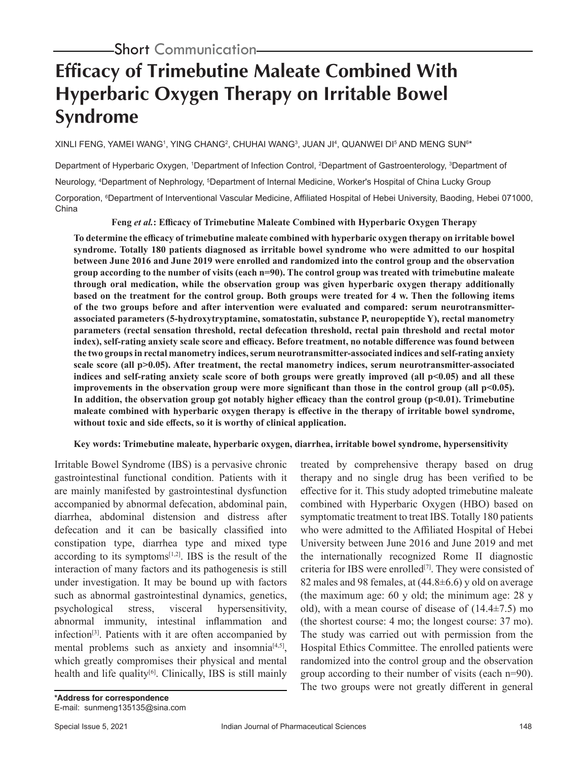# **Efficacy of Trimebutine Maleate Combined With Hyperbaric Oxygen Therapy on Irritable Bowel Syndrome**

XINLI FENG, YAMEI WANGʻ, YING CHANGʻ, CHUHAI WANGʻ, JUAN JIʻ, QUANWEI DI<sup>5</sup> AND MENG SUN<sup>6</sup>\*

Department of Hyperbaric Oxygen, 1Department of Infection Control, <sup>2</sup>Department of Gastroenterology, <sup>3</sup>Department of Neurology, <sup>4</sup>Department of Nephrology, <sup>5</sup>Department of Internal Medicine, Worker's Hospital of China Lucky Group Corporation, <sup>s</sup>Department of Interventional Vascular Medicine, Affiliated Hospital of Hebei University, Baoding, Hebei 071000, China

**Feng** *et al.***: Efficacy of Trimebutine Maleate Combined with Hyperbaric Oxygen Therapy**

**To determine the efficacy of trimebutine maleate combined with hyperbaric oxygen therapy on irritable bowel syndrome. Totally 180 patients diagnosed as irritable bowel syndrome who were admitted to our hospital between June 2016 and June 2019 were enrolled and randomized into the control group and the observation group according to the number of visits (each n=90). The control group was treated with trimebutine maleate through oral medication, while the observation group was given hyperbaric oxygen therapy additionally based on the treatment for the control group. Both groups were treated for 4 w. Then the following items of the two groups before and after intervention were evaluated and compared: serum neurotransmitterassociated parameters (5-hydroxytryptamine, somatostatin, substance P, neuropeptide Y), rectal manometry parameters (rectal sensation threshold, rectal defecation threshold, rectal pain threshold and rectal motor index), self-rating anxiety scale score and efficacy. Before treatment, no notable difference was found between the two groups in rectal manometry indices, serum neurotransmitter-associated indices and self-rating anxiety scale score (all p>0.05). After treatment, the rectal manometry indices, serum neurotransmitter-associated indices and self-rating anxiety scale score of both groups were greatly improved (all p<0.05) and all these improvements in the observation group were more significant than those in the control group (all p<0.05). In addition, the observation group got notably higher efficacy than the control group (p<0.01). Trimebutine maleate combined with hyperbaric oxygen therapy is effective in the therapy of irritable bowel syndrome, without toxic and side effects, so it is worthy of clinical application.**

## **Key words: Trimebutine maleate, hyperbaric oxygen, diarrhea, irritable bowel syndrome, hypersensitivity**

Irritable Bowel Syndrome (IBS) is a pervasive chronic gastrointestinal functional condition. Patients with it are mainly manifested by gastrointestinal dysfunction accompanied by abnormal defecation, abdominal pain, diarrhea, abdominal distension and distress after defecation and it can be basically classified into constipation type, diarrhea type and mixed type according to its symptoms $[1,2]$ . IBS is the result of the interaction of many factors and its pathogenesis is still under investigation. It may be bound up with factors such as abnormal gastrointestinal dynamics, genetics, psychological stress, visceral hypersensitivity, abnormal immunity, intestinal inflammation and infection<sup>[3]</sup>. Patients with it are often accompanied by mental problems such as anxiety and insomnia<sup>[4,5]</sup>, which greatly compromises their physical and mental health and life quality $[6]$ . Clinically, IBS is still mainly

treated by comprehensive therapy based on drug therapy and no single drug has been verified to be effective for it. This study adopted trimebutine maleate combined with Hyperbaric Oxygen (HBO) based on symptomatic treatment to treat IBS. Totally 180 patients who were admitted to the Affiliated Hospital of Hebei University between June 2016 and June 2019 and met the internationally recognized Rome II diagnostic criteria for IBS were enrolled<sup>[7]</sup>. They were consisted of 82 males and 98 females, at  $(44.8\pm6.6)$  y old on average (the maximum age: 60 y old; the minimum age: 28 y old), with a mean course of disease of  $(14.4\pm7.5)$  mo (the shortest course: 4 mo; the longest course: 37 mo). The study was carried out with permission from the Hospital Ethics Committee. The enrolled patients were randomized into the control group and the observation group according to their number of visits (each n=90). The two groups were not greatly different in general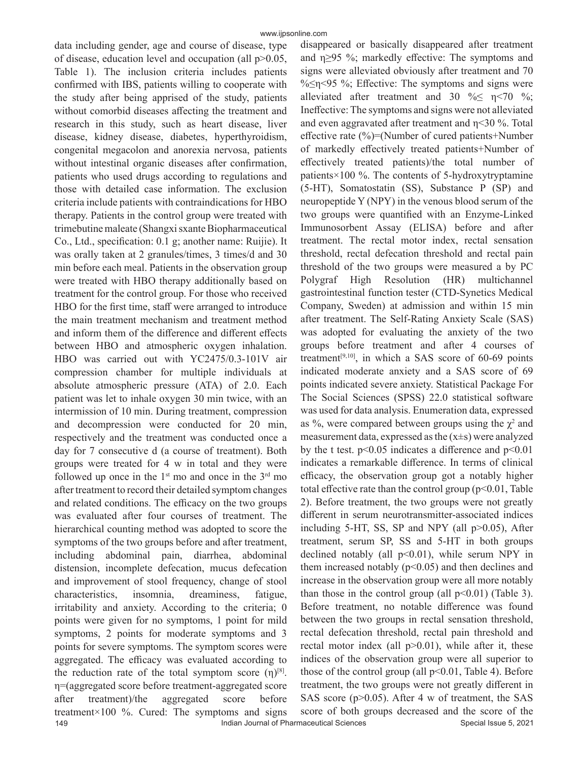149 **Indian Journal of Pharmaceutical Sciences** Special Issue 5, 2021 data including gender, age and course of disease, type of disease, education level and occupation (all p>0.05, Table 1). The inclusion criteria includes patients confirmed with IBS, patients willing to cooperate with the study after being apprised of the study, patients without comorbid diseases affecting the treatment and research in this study, such as heart disease, liver disease, kidney disease, diabetes, hyperthyroidism, congenital megacolon and anorexia nervosa, patients without intestinal organic diseases after confirmation, patients who used drugs according to regulations and those with detailed case information. The exclusion criteria include patients with contraindications for HBO therapy. Patients in the control group were treated with trimebutine maleate (Shangxi sxante Biopharmaceutical Co., Ltd., specification: 0.1 g; another name: Ruijie). It was orally taken at 2 granules/times, 3 times/d and 30 min before each meal. Patients in the observation group were treated with HBO therapy additionally based on treatment for the control group. For those who received HBO for the first time, staff were arranged to introduce the main treatment mechanism and treatment method and inform them of the difference and different effects between HBO and atmospheric oxygen inhalation. HBO was carried out with YC2475/0.3-101V air compression chamber for multiple individuals at absolute atmospheric pressure (ATA) of 2.0. Each patient was let to inhale oxygen 30 min twice, with an intermission of 10 min. During treatment, compression and decompression were conducted for 20 min, respectively and the treatment was conducted once a day for 7 consecutive d (a course of treatment). Both groups were treated for 4 w in total and they were followed up once in the  $1<sup>st</sup>$  mo and once in the  $3<sup>rd</sup>$  mo after treatment to record their detailed symptom changes and related conditions. The efficacy on the two groups was evaluated after four courses of treatment. The hierarchical counting method was adopted to score the symptoms of the two groups before and after treatment, including abdominal pain, diarrhea, abdominal distension, incomplete defecation, mucus defecation and improvement of stool frequency, change of stool characteristics, insomnia, dreaminess, fatigue, irritability and anxiety. According to the criteria; 0 points were given for no symptoms, 1 point for mild symptoms, 2 points for moderate symptoms and 3 points for severe symptoms. The symptom scores were aggregated. The efficacy was evaluated according to the reduction rate of the total symptom score  $(\eta)^{[8]}$ . η=(aggregated score before treatment-aggregated score after treatment)/the aggregated score before treatment×100 %. Cured: The symptoms and signs

disappeared or basically disappeared after treatment and η≥95 %; markedly effective: The symptoms and signs were alleviated obviously after treatment and 70  $\frac{1}{2}$   $\frac{5}{2}$  %; Effective: The symptoms and signs were alleviated after treatment and 30 % $\leq$   $\eta$ <70 %; Ineffective: The symptoms and signs were not alleviated and even aggravated after treatment and η<30 %. Total effective rate  $(\%)$ =(Number of cured patients+Number of markedly effectively treated patients+Number of effectively treated patients)/the total number of patients×100 %. The contents of 5-hydroxytryptamine (5-HT), Somatostatin (SS), Substance P (SP) and neuropeptide Y (NPY) in the venous blood serum of the two groups were quantified with an Enzyme-Linked Immunosorbent Assay (ELISA) before and after treatment. The rectal motor index, rectal sensation threshold, rectal defecation threshold and rectal pain threshold of the two groups were measured a by PC Polygraf High Resolution (HR) multichannel gastrointestinal function tester (CTD-Synetics Medical Company, Sweden) at admission and within 15 min after treatment. The Self-Rating Anxiety Scale (SAS) was adopted for evaluating the anxiety of the two groups before treatment and after 4 courses of treatment<sup>[9,10]</sup>, in which a SAS score of  $60-69$  points indicated moderate anxiety and a SAS score of 69 points indicated severe anxiety. Statistical Package For The Social Sciences (SPSS) 22.0 statistical software was used for data analysis. Enumeration data, expressed as %, were compared between groups using the  $\chi^2$  and measurement data, expressed as the  $(x\pm s)$  were analyzed by the t test.  $p<0.05$  indicates a difference and  $p<0.01$ indicates a remarkable difference. In terms of clinical efficacy, the observation group got a notably higher total effective rate than the control group ( $p<0.01$ , Table 2). Before treatment, the two groups were not greatly different in serum neurotransmitter-associated indices including 5-HT, SS, SP and NPY (all p>0.05), After treatment, serum SP, SS and 5-HT in both groups declined notably (all  $p<0.01$ ), while serum NPY in them increased notably  $(p<0.05)$  and then declines and increase in the observation group were all more notably than those in the control group (all  $p<0.01$ ) (Table 3). Before treatment, no notable difference was found between the two groups in rectal sensation threshold, rectal defecation threshold, rectal pain threshold and rectal motor index (all  $p > 0.01$ ), while after it, these indices of the observation group were all superior to those of the control group (all  $p<0.01$ , Table 4). Before treatment, the two groups were not greatly different in SAS score (p>0.05). After 4 w of treatment, the SAS score of both groups decreased and the score of the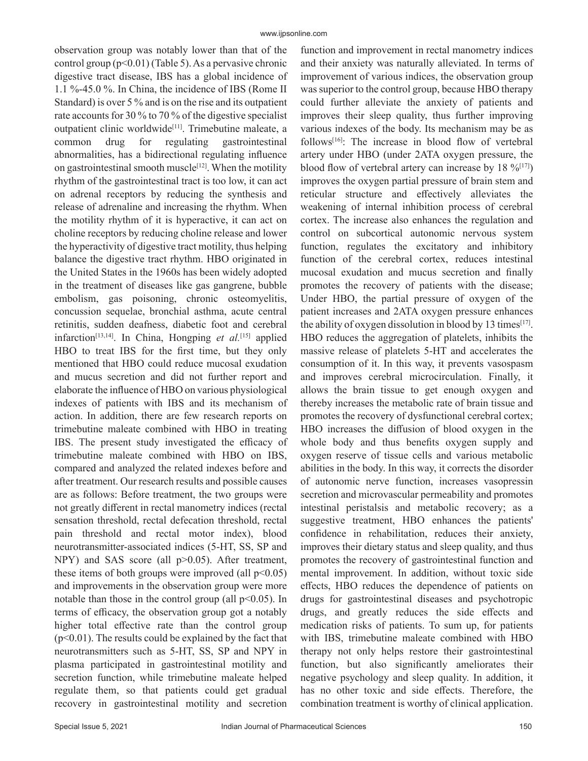observation group was notably lower than that of the control group (p<0.01) (Table 5). As a pervasive chronic digestive tract disease, IBS has a global incidence of 1.1 %-45.0 %. In China, the incidence of IBS (Rome II Standard) is over 5 % and is on the rise and its outpatient rate accounts for 30 % to 70 % of the digestive specialist outpatient clinic worldwide<sup>[11]</sup>. Trimebutine maleate, a common drug for regulating gastrointestinal abnormalities, has a bidirectional regulating influence on gastrointestinal smooth muscle $[12]$ . When the motility rhythm of the gastrointestinal tract is too low, it can act on adrenal receptors by reducing the synthesis and release of adrenaline and increasing the rhythm. When the motility rhythm of it is hyperactive, it can act on choline receptors by reducing choline release and lower the hyperactivity of digestive tract motility, thus helping balance the digestive tract rhythm. HBO originated in the United States in the 1960s has been widely adopted in the treatment of diseases like gas gangrene, bubble embolism, gas poisoning, chronic osteomyelitis, concussion sequelae, bronchial asthma, acute central retinitis, sudden deafness, diabetic foot and cerebral infarction[13,14]. In China, Hongping *et al.*[15] applied HBO to treat IBS for the first time, but they only mentioned that HBO could reduce mucosal exudation and mucus secretion and did not further report and elaborate the influence of HBO on various physiological indexes of patients with IBS and its mechanism of action. In addition, there are few research reports on trimebutine maleate combined with HBO in treating IBS. The present study investigated the efficacy of trimebutine maleate combined with HBO on IBS, compared and analyzed the related indexes before and after treatment. Our research results and possible causes are as follows: Before treatment, the two groups were not greatly different in rectal manometry indices (rectal sensation threshold, rectal defecation threshold, rectal pain threshold and rectal motor index), blood neurotransmitter-associated indices (5-HT, SS, SP and NPY) and SAS score (all p>0.05). After treatment, these items of both groups were improved (all  $p<0.05$ ) and improvements in the observation group were more notable than those in the control group (all  $p<0.05$ ). In terms of efficacy, the observation group got a notably higher total effective rate than the control group  $(p<0.01)$ . The results could be explained by the fact that neurotransmitters such as 5-HT, SS, SP and NPY in plasma participated in gastrointestinal motility and secretion function, while trimebutine maleate helped regulate them, so that patients could get gradual recovery in gastrointestinal motility and secretion

function and improvement in rectal manometry indices and their anxiety was naturally alleviated. In terms of improvement of various indices, the observation group was superior to the control group, because HBO therapy could further alleviate the anxiety of patients and improves their sleep quality, thus further improving various indexes of the body. Its mechanism may be as follows<sup>[16]</sup>: The increase in blood flow of vertebral artery under HBO (under 2ATA oxygen pressure, the blood flow of vertebral artery can increase by  $18\%^{[17]}$ ) improves the oxygen partial pressure of brain stem and reticular structure and effectively alleviates the weakening of internal inhibition process of cerebral cortex. The increase also enhances the regulation and control on subcortical autonomic nervous system function, regulates the excitatory and inhibitory function of the cerebral cortex, reduces intestinal mucosal exudation and mucus secretion and finally promotes the recovery of patients with the disease; Under HBO, the partial pressure of oxygen of the patient increases and 2ATA oxygen pressure enhances the ability of oxygen dissolution in blood by 13 times<sup>[17]</sup>. HBO reduces the aggregation of platelets, inhibits the massive release of platelets 5-HT and accelerates the consumption of it. In this way, it prevents vasospasm and improves cerebral microcirculation. Finally, it allows the brain tissue to get enough oxygen and thereby increases the metabolic rate of brain tissue and promotes the recovery of dysfunctional cerebral cortex; HBO increases the diffusion of blood oxygen in the whole body and thus benefits oxygen supply and oxygen reserve of tissue cells and various metabolic abilities in the body. In this way, it corrects the disorder of autonomic nerve function, increases vasopressin secretion and microvascular permeability and promotes intestinal peristalsis and metabolic recovery; as a suggestive treatment, HBO enhances the patients' confidence in rehabilitation, reduces their anxiety, improves their dietary status and sleep quality, and thus promotes the recovery of gastrointestinal function and mental improvement. In addition, without toxic side effects, HBO reduces the dependence of patients on drugs for gastrointestinal diseases and psychotropic drugs, and greatly reduces the side effects and medication risks of patients. To sum up, for patients with IBS, trimebutine maleate combined with HBO therapy not only helps restore their gastrointestinal function, but also significantly ameliorates their negative psychology and sleep quality. In addition, it has no other toxic and side effects. Therefore, the combination treatment is worthy of clinical application.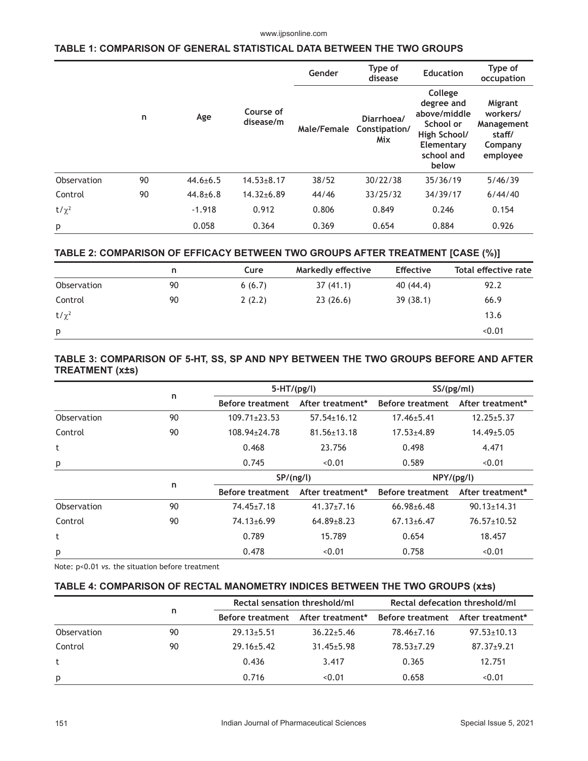#### www.ijpsonline.com

## **TABLE 1: COMPARISON OF GENERAL STATISTICAL DATA BETWEEN THE TWO GROUPS**

|             |    |                |                        | Gender      | Type of<br>disease                 | <b>Education</b>                                                                                        | Type of<br>occupation                                              |  |
|-------------|----|----------------|------------------------|-------------|------------------------------------|---------------------------------------------------------------------------------------------------------|--------------------------------------------------------------------|--|
|             | n  | Age            | Course of<br>disease/m | Male/Female | Diarrhoea/<br>Constipation/<br>Mix | College<br>degree and<br>above/middle<br>School or<br>High School/<br>Elementary<br>school and<br>below | Migrant<br>workers/<br>Management<br>staff/<br>Company<br>employee |  |
| Observation | 90 | $44.6 \pm 6.5$ | $14.53 \pm 8.17$       | 38/52       | 30/22/38                           | 35/36/19                                                                                                | 5/46/39                                                            |  |
| Control     | 90 | $44.8 + 6.8$   | $14.32{\pm}6.89$       | 44/46       | 33/25/32                           | 34/39/17                                                                                                | 6/44/40                                                            |  |
| $t/\chi^2$  |    | $-1.918$       | 0.912                  | 0.806       | 0.849                              | 0.246                                                                                                   | 0.154                                                              |  |
| p           |    | 0.058          | 0.364                  | 0.369       | 0.654                              | 0.884                                                                                                   | 0.926                                                              |  |

## **TABLE 2: COMPARISON OF EFFICACY BETWEEN TWO GROUPS AFTER TREATMENT [CASE (%)]**

|             | n  | Cure   | <b>Markedly effective</b> | <b>Effective</b> | Total effective rate |
|-------------|----|--------|---------------------------|------------------|----------------------|
| Observation | 90 | 6(6.7) | 37(41.1)                  | 40 (44.4)        | 92.2                 |
| Control     | 90 | 2(2.2) | 23(26.6)                  | 39(38.1)         | 66.9                 |
| $t/\chi^2$  |    |        |                           |                  | 13.6                 |
| p           |    |        |                           |                  | < 0.01               |

# **TABLE 3: COMPARISON OF 5-HT, SS, SP AND NPY BETWEEN THE TWO GROUPS BEFORE AND AFTER TREATMENT (x±s)**

|             | n  |                         | $5-HT/(pg/l)$     |                         | SS/(pg/ml)        |  |
|-------------|----|-------------------------|-------------------|-------------------------|-------------------|--|
|             |    | <b>Before treatment</b> | After treatment*  | <b>Before treatment</b> | After treatment*  |  |
| Observation | 90 | $109.71 \pm 23.53$      | $57.54 \pm 16.12$ | $17.46 \pm 5.41$        | $12.25 \pm 5.37$  |  |
| Control     | 90 | 108.94±24.78            | $81.56 \pm 13.18$ | $17.53 + 4.89$          | $14.49 \pm 5.05$  |  |
| t           |    | 0.468                   | 23.756            | 0.498                   | 4.471             |  |
| p           |    | 0.745                   | < 0.01            | 0.589                   | < 0.01            |  |
|             | n  | SP/(ng/l)               |                   | NPY/(pg/l)              |                   |  |
|             |    | <b>Before treatment</b> | After treatment*  | <b>Before treatment</b> | After treatment*  |  |
| Observation | 90 | 74.45±7.18              | $41.37 \pm 7.16$  | $66.98 \pm 6.48$        | $90.13 \pm 14.31$ |  |
| Control     | 90 | 74.13±6.99              | $64.89 \pm 8.23$  | $67.13 \pm 6.47$        | $76.57 \pm 10.52$ |  |
| t           |    | 0.789                   | 15.789            | 0.654                   | 18.457            |  |
| p           |    | 0.478                   | < 0.01            | 0.758                   | < 0.01            |  |

Note: p<0.01 *vs.* the situation before treatment

## **TABLE 4: COMPARISON OF RECTAL MANOMETRY INDICES BETWEEN THE TWO GROUPS (x±s)**

|             | n  |                         | Rectal sensation threshold/ml |                  | Rectal defecation threshold/ml |  |
|-------------|----|-------------------------|-------------------------------|------------------|--------------------------------|--|
|             |    | <b>Before treatment</b> | After treatment*              | Before treatment | After treatment*               |  |
| Observation | 90 | $29.13 \pm 5.51$        | $36.22 \pm 5.46$              | 78.46±7.16       | $97.53 \pm 10.13$              |  |
| Control     | 90 | $29.16 + 5.42$          | $31.45 + 5.98$                | 78.53+7.29       | $87.37 \pm 9.21$               |  |
|             |    | 0.436                   | 3.417                         | 0.365            | 12.751                         |  |
| p           |    | 0.716                   | < 0.01                        | 0.658            | < 0.01                         |  |